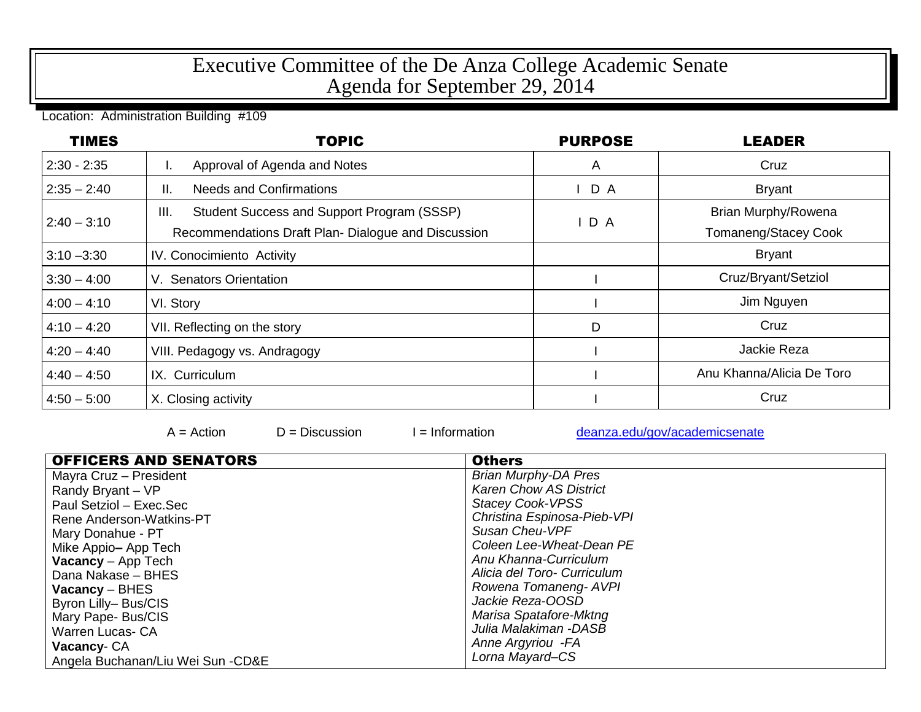## Executive Committee of the De Anza College Academic Senate Agenda for September 29, 2014

Location: Administration Building #109

| <b>TIMES</b>  | <b>TOPIC</b>                                                                                             | <b>PURPOSE</b> | <b>LEADER</b>                               |
|---------------|----------------------------------------------------------------------------------------------------------|----------------|---------------------------------------------|
| $2:30 - 2:35$ | Approval of Agenda and Notes<br>ъ.                                                                       | A              | Cruz                                        |
| $2:35 - 2:40$ | <b>Needs and Confirmations</b><br>Ш.                                                                     | $I$ D A        | <b>Bryant</b>                               |
| $2:40 - 3:10$ | III.<br>Student Success and Support Program (SSSP)<br>Recommendations Draft Plan-Dialogue and Discussion | D A            | Brian Murphy/Rowena<br>Tomaneng/Stacey Cook |
| $3:10 - 3:30$ | IV. Conocimiento Activity                                                                                |                | <b>Bryant</b>                               |
| $3:30 - 4:00$ | V. Senators Orientation                                                                                  |                | Cruz/Bryant/Setziol                         |
| $4:00 - 4:10$ | VI. Story                                                                                                |                | Jim Nguyen                                  |
| $4:10 - 4:20$ | VII. Reflecting on the story                                                                             | D              | Cruz                                        |
| $4:20 - 4:40$ | VIII. Pedagogy vs. Andragogy                                                                             |                | Jackie Reza                                 |
| $4:40 - 4:50$ | IX. Curriculum                                                                                           |                | Anu Khanna/Alicia De Toro                   |
| $4:50 - 5:00$ | X. Closing activity                                                                                      |                | Cruz                                        |

 $A =$  Action  $D =$  Discussion I = Information [deanza.edu/gov/academicsenate](http://www.deanza.edu/gov/academicsenate)

| <b>OFFICERS AND SENATORS</b>      | <b>Others</b>                 |
|-----------------------------------|-------------------------------|
| Mayra Cruz - President            | <b>Brian Murphy-DA Pres</b>   |
| Randy Bryant - VP                 | <b>Karen Chow AS District</b> |
| Paul Setziol - Exec.Sec           | <b>Stacey Cook-VPSS</b>       |
| Rene Anderson-Watkins-PT          | Christina Espinosa-Pieb-VPI   |
| Mary Donahue - PT                 | Susan Cheu-VPF                |
| Mike Appio-App Tech               | Coleen Lee-Wheat-Dean PE      |
| <b>Vacancy</b> - App Tech         | Anu Khanna-Curriculum         |
| Dana Nakase - BHES                | Alicia del Toro- Curriculum   |
| $Vacancy - BHES$                  | Rowena Tomaneng-AVPI          |
| Byron Lilly-Bus/CIS               | Jackie Reza-OOSD              |
| Mary Pape- Bus/CIS                | Marisa Spatafore-Mktng        |
| <b>Warren Lucas- CA</b>           | Julia Malakiman -DASB         |
| Vacancy-CA                        | Anne Argyriou - FA            |
| Angela Buchanan/Liu Wei Sun -CD&E | Lorna Mayard-CS               |